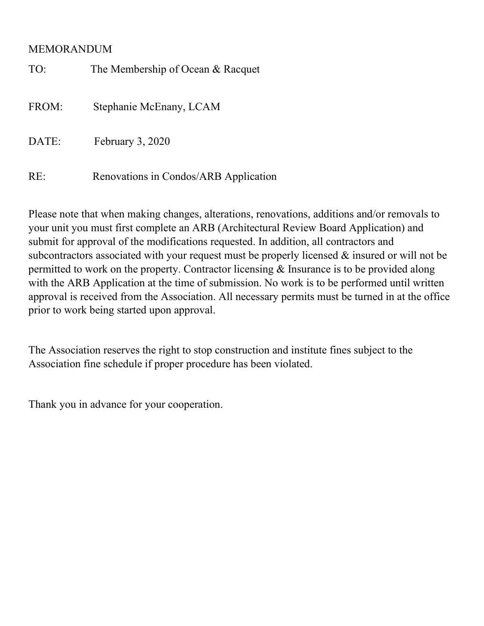## MEMORANDUM

| TO:   | The Membership of Ocean & Racquet     |
|-------|---------------------------------------|
| FROM: | Stephanie McEnany, LCAM               |
| DATE: | February 3, 2020                      |
| RE:   | Renovations in Condos/ARB Application |

Please note that when making changes, alterations, renovations, additions and/or removals to your unit you must first complete an ARB (Architectural Review Board Application) and submit for approval of the modifications requested. In addition, all contractors and subcontractors associated with your request must be properly licensed & insured or will not be permitted to work on the property. Contractor licensing & Insurance is to be provided along with the ARB Application at the time of submission. No work is to be performed until written approval is received from the Association. All necessary permits must be turned in at the office prior to work being started upon approval.

The Association reserves the right to stop construction and institute fines subject to the Association fine schedule if proper procedure has been violated.

Thank you in advance for your cooperation.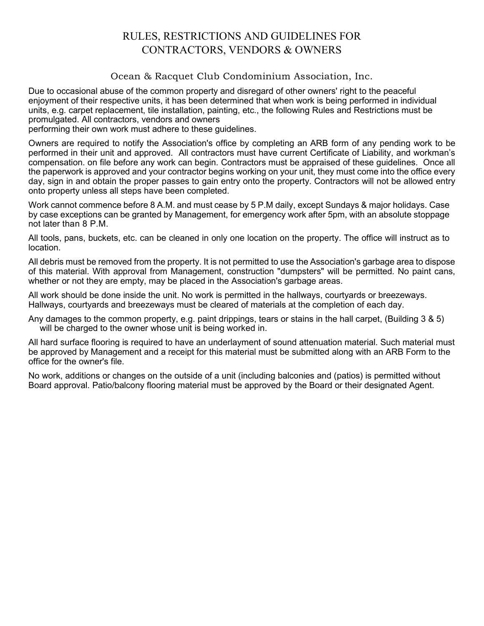## RULES, RESTRICTIONS AND GUIDELINES FOR CONTRACTORS, VENDORS & OWNERS

Ocean & Racquet Club Condominium Association, Inc.

Due to occasional abuse of the common property and disregard of other owners' right to the peaceful enjoyment of their respective units, it has been determined that when work is being performed in individual units, e.g. carpet replacement, tile installation, painting, etc., the following Rules and Restrictions must be promulgated. All contractors, vendors and owners

performing their own work must adhere to these guidelines.

Owners are required to notify the Association's office by completing an ARB form of any pending work to be performed in their unit and approved. All contractors must have current Certificate of Liability, and workman's compensation. on file before any work can begin. Contractors must be appraised of these guidelines. Once all the paperwork is approved and your contractor begins working on your unit, they must come into the office every day, sign in and obtain the proper passes to gain entry onto the property. Contractors will not be allowed entry onto property unless all steps have been completed.

Work cannot commence before 8 A.M. and must cease by 5 P.M daily, except Sundays & major holidays. Case by case exceptions can be granted by Management, for emergency work after 5pm, with an absolute stoppage not later than 8 P.M.

All tools, pans, buckets, etc. can be cleaned in only one location on the property. The office will instruct as to location.

All debris must be removed from the property. It is not permitted to use the Association's garbage area to dispose of this material. With approval from Management, construction "dumpsters" will be permitted. No paint cans, whether or not they are empty, may be placed in the Association's garbage areas.

All work should be done inside the unit. No work is permitted in the hallways, courtyards or breezeways. Hallways, courtyards and breezeways must be cleared of materials at the completion of each day.

Any damages to the common property, e.g. paint drippings, tears or stains in the hall carpet, (Building 3 & 5) will be charged to the owner whose unit is being worked in.

All hard surface flooring is required to have an underlayment of sound attenuation material. Such material must be approved by Management and a receipt for this material must be submitted along with an ARB Form to the office for the owner's file.

No work, additions or changes on the outside of a unit (including balconies and (patios) is permitted without Board approval. Patio/balcony flooring material must be approved by the Board or their designated Agent.